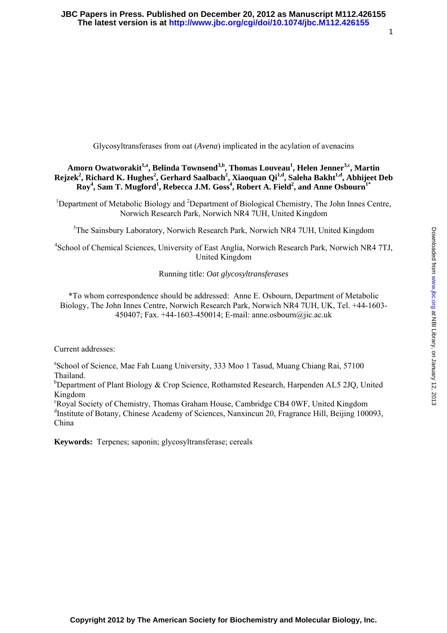Downloaded from www.jbc.org at NBI Library, on January 12, 2013 Downloaded from [www.jbc.org](http://www.jbc.org/) at NBI Library, on January 12, 2013

<span id="page-0-0"></span>Glycosyltransferases from oat (*Avena*) implicated in the acylation of avenacins

## Amorn Owatworakit<sup>1,a</sup>, Belinda Townsend<sup>3,b</sup>, Thomas Louveau<sup>1</sup>, Helen Jenner<sup>3,c</sup>, Martin  $\text{Rejzek}^2$ , Richard K. Hughes<sup>2</sup>, Gerhard Saalbach<sup>2</sup>, Xiaoquan Qi<sup>1,d</sup>, Saleha Bakht<sup>1,d</sup>, Abhijeet Deb  $\text{Roy}^4$ , Sam T. Mugford<sup>1</sup>, Rebecca J.M.  $\text{Goss}^4$ , Robert A. Field<sup>2</sup>, and Anne Osbourn<sup>1\*</sup>

<sup>1</sup>Department of Metabolic Biology and <sup>2</sup>Department of Biological Chemistry, The John Innes Centre, Norwich Research Park, Norwich NR4 7UH, United Kingdom

<sup>3</sup>The Sainsbury Laboratory, Norwich Research Park, Norwich NR4 7UH, United Kingdom

4 School of Chemical Sciences, University of East Anglia, Norwich Research Park, Norwich NR4 7TJ, United Kingdom

#### Running title: *Oat glycosyltransferases*

\*To whom correspondence should be addressed: Anne E. Osbourn, Department of Metabolic Biology, The John Innes Centre, Norwich Research Park, Norwich NR4 7UH, UK, Tel. +44-1603- 450407; Fax. +44-1603-450014; E-mail: anne.osbourn@jic.ac.uk

Current addresses:

<sup>a</sup> School of Science, Mae Fah Luang University, 333 Moo 1 Tasud, Muang Chiang Rai, 57100 Thailand.

<sup>b</sup>Department of Plant Biology & Crop Science, Rothamsted Research, Harpenden AL5 2JQ, United Kingdom

c Royal Society of Chemistry, Thomas Graham House, Cambridge CB4 0WF, United Kingdom <sup>d</sup>Institute of Botany, Chinese Academy of Sciences, Nanxincun 20, Fragrance Hill, Beijing 100093, China

**Keywords:** Terpenes; saponin; glycosyltransferase; cereals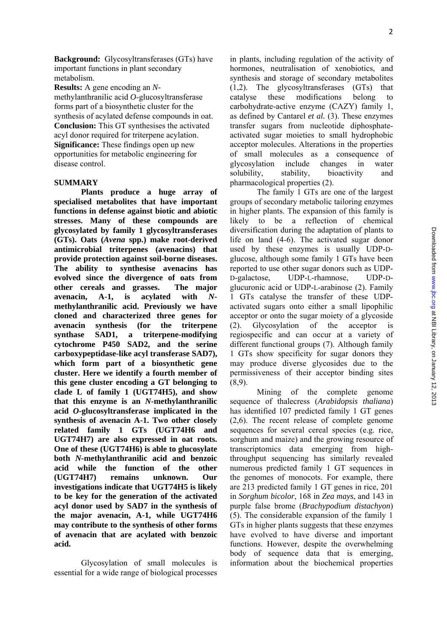**Background:** Glycosyltransferases (GTs) have important functions in plant secondary metabolism.

**Results:** A gene encoding an *N*methylanthranilic acid *O*-glucosyltransferase forms part of a biosynthetic cluster for the synthesis of acylated defense compounds in oat. **Conclusion:** This GT synthesises the activated acyl donor required for triterpene acylation. **Significance:** These findings open up new opportunities for metabolic engineering for disease control.

#### **SUMMARY**

**Plants produce a huge array of specialised metabolites that have important functions in defense against biotic and abiotic stresses. Many of these compounds are glycosylated by family 1 glycosyltransferases (GTs). Oats (***Avena* **spp.) make root-derived antimicrobial triterpenes (avenacins) that provide protection against soil-borne diseases. The ability to synthesise avenacins has evolved since the divergence of oats from other cereals and grasses. The major avenacin, A-1, is acylated with** *N***methylanthranilic acid. Previously we have cloned and characterized three genes for avenacin synthesis (for the triterpene synthase SAD1, a triterpene-modifying cytochrome P450 SAD2, and the serine carboxypeptidase-like acyl transferase SAD7), which form part of a biosynthetic gene cluster. Here we identify a fourth member of this gene cluster encoding a GT belonging to clade L of family 1 (UGT74H5), and show that this enzyme is an** *N-***methylanthranilic acid** *O***-glucosyltransferase implicated in the synthesis of avenacin A-1. Two other closely related family 1 GTs (UGT74H6 and UGT74H7) are also expressed in oat roots. One of these (UGT74H6) is able to glucosylate both** *N-***methylanthranilic acid and benzoic acid while the function of the other (UGT74H7) remains unknown. Our investigations indicate that UGT74H5 is likely to be key for the generation of the activated acyl donor used by SAD7 in the synthesis of the major avenacin, A-1, while UGT74H6 may contribute to the synthesis of other forms of avenacin that are acylated with benzoic acid.** 

Glycosylation of small molecules is essential for a wide range of biological processes in plants, including regulation of the activity of hormones, neutralisation of xenobiotics, and synthesis and storage of secondary metabolites (1,2). The glycosyltransferases (GTs) that catalyse these modifications belong to carbohydrate-active enzyme (CAZY) family 1, as defined by Cantarel *et al.* ([3](#page-0-0)). These enzymes transfer sugars from nucleotide diphosphateactivated sugar moieties to small hydrophobic acceptor molecules. Alterations in the properties of small molecules as a consequence of glycosylation include changes in water solubility, stability, bioactivity and pharmacological properties ([2](#page-0-0)).

The family 1 GTs are one of the largest groups of secondary metabolic tailoring enzymes in higher plants. The expansion of this family is likely to be a reflection of chemical diversification during the adaptation of plants to life on land (4-6). The activated sugar donor used by these enzymes is usually UDP-Dglucose, although some family 1 GTs have been reported to use other sugar donors such as UDP-D-galactose, UDP-L-rhamnose, UDP-Dglucuronic acid or UDP-L-arabinose [\(2\)](#page-0-0). Family 1 GTs catalyse the transfer of these UDPactivated sugars onto either a small lipophilic acceptor or onto the sugar moiety of a glycoside ([2](#page-0-0)). Glycosylation of the acceptor is regiospecific and can occur at a variety of different functional groups (7). Although family 1 GTs show specificity for sugar donors they may produce diverse glycosides due to the permissiveness of their acceptor binding sites (8,9).

Mining of the complete genome sequence of thalecress (*Arabidopsis thaliana*) has identified 107 predicted family 1 GT genes (2,6). The recent release of complete genome sequences for several cereal species (e.g. rice, sorghum and maize) and the growing resource of transcriptomics data emerging from highthroughput sequencing has similarly revealed numerous predicted family 1 GT sequences in the genomes of monocots. For example, there are 213 predicted family 1 GT genes in rice, 201 in *Sorghum bicolor*, 168 in *Zea mays*, and 143 in purple false brome (*Brachypodium distachyon*) ([5](#page-0-0)). The considerable expansion of the family 1 GTs in higher plants suggests that these enzymes have evolved to have diverse and important functions. However, despite the overwhelming body of sequence data that is emerging, information about the biochemical properties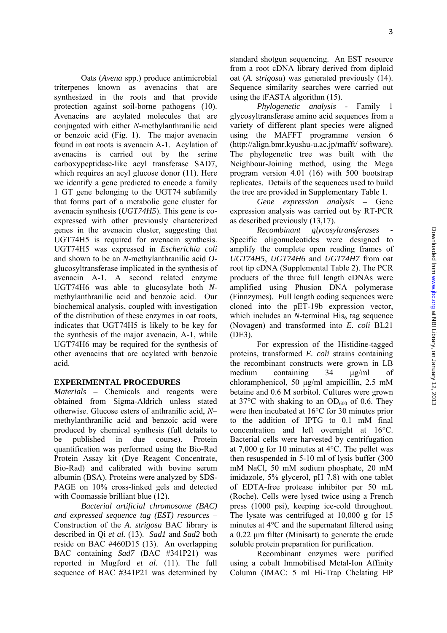Oats (*Avena* spp.) produce antimicrobial triterpenes known as avenacins that are synthesized in the roots and that provide protection against soil-borne pathogens (10). Avenacins are acylated molecules that are conjugated with either *N*-methylanthranilic acid or benzoic acid (Fig. 1). The major avenacin found in oat roots is avenacin A-1. Acylation of avenacins is carried out by the serine carboxypeptidase-like acyl transferase SAD7, which requires an acyl glucose donor  $(11)$ . Here we identify a gene predicted to encode a family 1 GT gene belonging to the UGT74 subfamily that forms part of a metabolic gene cluster for avenacin synthesis (*UGT74H5*). This gene is coexpressed with other previously characterized genes in the avenacin cluster, suggesting that UGT74H5 is required for avenacin synthesis. UGT74H5 was expressed in *Escherichia coli* and shown to be an *N*-methylanthranilic acid *O*glucosyltransferase implicated in the synthesis of avenacin A-1. A second related enzyme UGT74H6 was able to glucosylate both *N*methylanthranilic acid and benzoic acid. Our biochemical analysis, coupled with investigation of the distribution of these enzymes in oat roots, indicates that UGT74H5 is likely to be key for the synthesis of the major avenacin, A-1, while UGT74H6 may be required for the synthesis of other avenacins that are acylated with benzoic

### **EXPERIMENTAL PROCEDURES**

acid.

*Materials –* Chemicals and reagents were obtained from Sigma-Aldrich unless stated otherwise. Glucose esters of anthranilic acid, *N*– methylanthranilic acid and benzoic acid were produced by chemical synthesis (full details to be published in due course). Protein quantification was performed using the Bio-Rad Protein Assay kit (Dye Reagent Concentrate, Bio-Rad) and calibrated with bovine serum albumin (BSA). Proteins were analyzed by SDS-PAGE on 10% cross-linked gels and detected with Coomassie brilliant blue (12).

*Bacterial artificial chromosome (BAC) and expressed sequence tag (EST) resources –*  Construction of the *A. strigosa* BAC library is described in Qi *et al.* (13). *Sad1* and *Sad2* both reside on BAC #460D15 (13). An overlapping BAC containing *Sad7* (BAC #341P21) was reported in Mugford *et al*. (11). The full sequence of BAC #341P21 was determined by standard shotgun sequencing. An EST resource from a root cDNA library derived from diploid oat (*A. strigosa*) was generated previously (14). Sequence similarity searches were carried out using the tFASTA algorithm (15).

*Phylogenetic analysis -* Family 1 glycosyltransferase amino acid sequences from a variety of different plant species were aligned using the MAFFT programme version 6 ([http://align.bmr.kyushu-u.ac.jp/mafft/ software\)](http://align.bmr.kyushu-u.ac.jp/mafft/software). The phylogenetic tree was built with the Neighbour-Joining method, using the Mega program version 4.01 (16) with 500 bootstrap replicates. Details of the sequences used to build the tree are provided in Supplementary Table 1.

*Gene expression analysis –* Gene expression analysis was carried out by RT-PCR as described previously (13,17).

*Recombinant glycosyltransferases* **-**  Specific oligonucleotides were designed to amplify the complete open reading frames of *UGT74H5*, *UGT74H6* and *UGT74H7* from oat root tip cDNA (Supplemental Table 2). The PCR products of the three full length cDNAs were amplified using Phusion DNA polymerase (Finnzymes). Full length coding sequences were cloned into the pET-19b expression vector, which includes an  $N$ -terminal His<sub>6</sub> tag sequence (Novagen) and transformed into *E. coli* BL21 (DE3).

For expression of the Histidine-tagged proteins, transformed *E. coli* strains containing the recombinant constructs were grown in LB medium containing 34 μg/ml of chloramphenicol, 50 μg/ml ampicillin, 2.5 mM betaine and 0.6 M sorbitol. Cultures were grown at 37 $\degree$ C with shaking to an OD<sub>600</sub> of 0.6. They were then incubated at 16°C for 30 minutes prior to the addition of IPTG to 0.1 mM final concentration and left overnight at 16°C. Bacterial cells were harvested by centrifugation at 7,000 g for 10 minutes at 4°C. The pellet was then resuspended in 5-10 ml of lysis buffer (300 mM NaCl, 50 mM sodium phosphate, 20 mM imidazole, 5% glycerol, pH 7.8) with one tablet of EDTA-free protease inhibitor per 50 mL (Roche). Cells were lysed twice using a French press (1000 psi), keeping ice-cold throughout. The lysate was centrifuged at 10,000 g for 15 minutes at 4°C and the supernatant filtered using a 0.22 μm filter (Minisart) to generate the crude soluble protein preparation for purification.

Recombinant enzymes were purified using a cobalt Immobilised Metal-Ion Affinity Column (IMAC: 5 ml Hi-Trap Chelating HP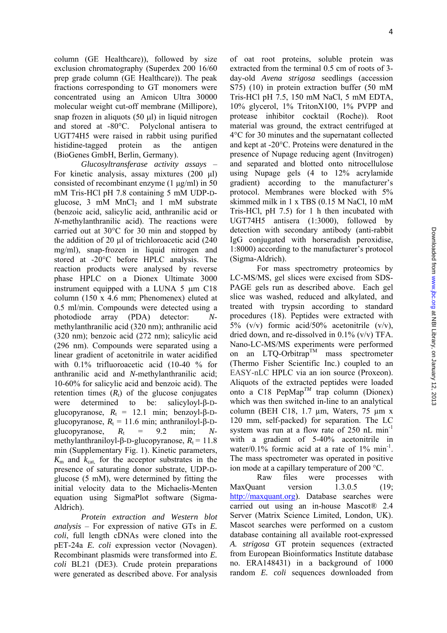column (GE Healthcare)), followed by size exclusion chromatography (Superdex 200 16/60 prep grade column (GE Healthcare)). The peak fractions corresponding to GT monomers were concentrated using an Amicon Ultra 30000 molecular weight cut-off membrane (Millipore), snap frozen in aliquots  $(50 \mu l)$  in liquid nitrogen and stored at -80°C. Polyclonal antisera to UGT74H5 were raised in rabbit using purified histidine-tagged protein as the antigen (BioGenes GmbH, Berlin, Germany).

*Glucosyltransferase activity assays* – For kinetic analysis, assay mixtures (200 μl) consisted of recombinant enzyme (1 μg/ml) in 50 mM Tris-HCl pH 7.8 containing 5 mM UDP-Dglucose,  $3 \text{ mM } MnCl_2$  and  $1 \text{ mM }$  substrate (benzoic acid, salicylic acid, anthranilic acid or *N*-methylanthranilic acid). The reactions were carried out at 30°C for 30 min and stopped by the addition of 20 μl of trichloroacetic acid (240 mg/ml), snap-frozen in liquid nitrogen and stored at -20°C before HPLC analysis. The reaction products were analysed by reverse phase HPLC on a Dionex Ultimate 3000 instrument equipped with a LUNA 5 μm C18 column (150 x 4.6 mm; Phenomenex) eluted at 0.5 ml/min. Compounds were detected using a photodiode array (PDA) detector: *N*methylanthranilic acid (320 nm); anthranilic acid (320 nm); benzoic acid (272 nm); salicylic acid (296 nm). Compounds were separated using a linear gradient of acetonitrile in water acidified with 0.1% trifluoroacetic acid (10-40 % for anthranilic acid and *N*-methylanthranilic acid; 10-60% for salicylic acid and benzoic acid). The retention times  $(R<sub>t</sub>)$  of the glucose conjugates were determined to be: salicyloyl-β-Dglucopyranose,  $R_t = 12.1$  min; benzoyl- $\beta$ -Dglucopyranose,  $R_t = 11.6$  min; anthraniloyl- $\beta$ -Dglucopyranose,  $R_t = 9.2$  min;  $N$ methylanthraniloyl-β-D-glucopyranose,  $R<sub>t</sub> = 11.8$ min (Supplementary Fig. 1). Kinetic parameters,  $K<sub>m</sub>$  and  $k<sub>cat</sub>$  for the acceptor substrates in the presence of saturating donor substrate, UDP-Dglucose (5 mM), were determined by fitting the initial velocity data to the Michaelis-Menten equation using SigmaPlot software (Sigma-Aldrich).

*Protein extraction and Western blot analysis* – For expression of native GTs in *E. coli*, full length cDNAs were cloned into the pET-24a *E. coli* expression vector (Novagen). Recombinant plasmids were transformed into *E. coli* BL21 (DE3). Crude protein preparations were generated as described above. For analysis of oat root proteins, soluble protein was extracted from the terminal 0.5 cm of roots of 3 day-old *Avena strigosa* seedlings (accession S75) (10) in protein extraction buffer (50 mM Tris-HCl pH 7.5, 150 mM NaCl, 5 mM EDTA, 10% glycerol, 1% TritonX100, 1% PVPP and protease inhibitor cocktail (Roche)). Root material was ground, the extract centrifuged at 4°C for 30 minutes and the supernatant collected and kept at -20°C. Proteins were denatured in the presence of Nupage reducing agent (Invitrogen) and separated and blotted onto nitrocellulose using Nupage gels (4 to 12% acrylamide gradient) according to the manufacturer's protocol. Membranes were blocked with 5% skimmed milk in 1 x TBS (0.15 M NaCl, 10 mM Tris-HCl, pH 7.5) for 1 h then incubated with UGT74H5 antisera (1:3000), followed by detection with secondary antibody (anti-rabbit IgG conjugated with horseradish peroxidise, 1:8000) according to the manufacturer's protocol (Sigma-Aldrich).

For mass spectrometry proteomics by LC-MS/MS, gel slices were excised from SDS-PAGE gels run as described above. Each gel slice was washed, reduced and alkylated, and treated with trypsin according to standard procedures (18). Peptides were extracted with 5% (v/v) formic acid/50% acetonitrile  $(v/v)$ , dried down, and re-dissolved in  $0.1\%$  (v/v) TFA. Nano-LC-MS/MS experiments were performed on an  $LTQ$ -Orbitrap<sup>TM</sup> mass spectrometer (Thermo Fisher Scientific Inc.) coupled to an EASY-nLC HPLC via an ion source (Proxeon). Aliquots of the extracted peptides were loaded onto a C18 PepMap<sup>TM</sup> trap column (Dionex) which was then switched in-line to an analytical column (BEH C18, 1.7 µm, Waters, 75 µm x 120 mm, self-packed) for separation. The LC system was run at a flow rate of 250 nL min<sup>-1</sup> with a gradient of 5-40% acetonitrile in water/0.1% formic acid at a rate of  $1\%$  min<sup>-1</sup>. The mass spectrometer was operated in positive ion mode at a capillary temperature of 200 °C.

Raw files were processes with MaxQuant version 1.3.0.5 (19; [http://maxquant.org](http://maxquant.org/)). Database searches were carried out using an in-house Mascot® 2.4 Server (Matrix Science Limited, London, UK). Mascot searches were performed on a custom database containing all available root-expressed *A. strigosa* GT protein sequences (extracted from European Bioinformatics Institute database no. ERA148431) in a background of 1000 random *E. coli* sequences downloaded from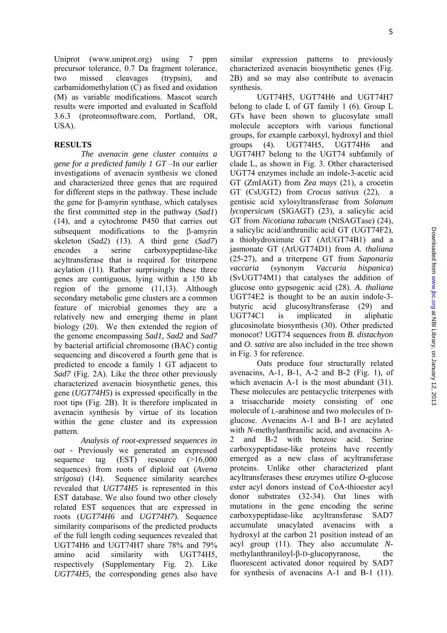Uniprot (www.uniprot.org) using 7 ppm precursor tolerance, 0.7 Da fragment tolerance, two missed cleavages (trypsin), and carbamidomethylation (C) as fixed and oxidation (M) as variable modifications. Mascot search results were imported and evaluated in Scaffold 3.6.3 (proteomsoftware.com, Portland, OR, USA).

#### **RESULTS**

*The avenacin gene cluster contains a gene for a predicted family 1 GT* –In our earlier investigations of avenacin synthesis we cloned and characterized three genes that are required for different steps in the pathway. These include the gene for β-amyrin synthase, which catalyses the first committed step in the pathway (*Sad1*) (14), and a cytochrome P450 that carries out subsequent modifications to the β-amyrin skeleton (*Sad2*) (13). A third gene (*Sad7*) encodes a serine carboxypeptidase-like acyltransferase that is required for triterpene acylation (11). Rather surprisingly these three genes are contiguous, lying within a 150 kb region of the genome (11,13). Although secondary metabolic gene clusters are a common feature of microbial genomes they are a relatively new and emerging theme in plant biology (20). We then extended the region of the genome encompassing *Sad1, Sad2* and *Sad7*  by bacterial artificial chromosome (BAC) contig sequencing and discovered a fourth gene that is predicted to encode a family 1 GT adjacent to *Sad7* (Fig. 2A). Like the three other previously characterized avenacin biosynthetic genes, this gene (*UGT74H5*) is expressed specifically in the root tips (Fig. 2B). It is therefore implicated in avenacin synthesis by virtue of its location within the gene cluster and its expression pattern.

*Analysis of root-expressed sequences in oat -* Previously we generated an expressed sequence tag (EST) resource (>16,000 sequences) from roots of diploid oat (*Avena strigosa*) (14). Sequence similarity searches revealed that *UGT74H5* is represented in this EST database. We also found two other closely related EST sequences that are expressed in roots (*UGT74H6* and *UGT74H7*). Sequence similarity comparisons of the predicted products of the full length coding sequences revealed that UGT74H6 and UGT74H7 share 78% and 79% amino acid similarity with UGT74H5, respectively (Supplementary Fig. 2). Like *UGT74H5,* the corresponding genes also have

similar expression patterns to previously characterized avenacin biosynthetic genes (Fig. 2B) and so may also contribute to avenacin synthesis.

UGT74H5, UGT74H6 and UGT74H7 belong to clade L of GT family 1 ([6\)](#page-0-0). Group L GTs have been shown to glucosylate small molecule acceptors with various functional groups, for example carboxyl, hydroxyl and thiol groups [\(4\)](#page-0-0). UGT74H5, UGT74H6 and UGT74H7 belong to the UGT74 subfamily of clade L, as shown in Fig. 3. Other characterised UGT74 enzymes include an indole-3-acetic acid GT (ZmIAGT) from *Zea mays* (21), a crocetin GT (CsUGT2) from *Crocus sativus* (22), a gentisic acid xylosyltransferase from *Solanum lycopersicum* (SlGAGT) (23), a salicylic acid GT from *Nicotiana tabacum* (NtSAGTase) (24), a salicylic acid/anthranilic acid GT (UGT74F2), a thiohydroximate GT (AtUGT74B1) and a jasmonate GT (AtUGT74D1) from *A. thaliana*  (25-27), and a triterpene GT from *Saponaria vaccaria* (synonym *Vaccaria hispanica*) (SvUGT74M1) that catalyses the addition of glucose onto gypsogenic acid (28). *A. thaliana* UGT74E2 is thought to be an auxin indole-3 butyric acid glucosyltransferase (29) and UGT74C1 is implicated in aliphatic glucosinolate biosynthesis (30). Other predicted monocot? UGT74 sequences from *B. distachyon* and *O. sativa* are also included in the tree shown in Fig. 3 for reference.

Oats produce four structurally related avenacins,  $A-1$ ,  $B-1$ ,  $A-2$  and  $B-2$  (Fig. 1), of which avenacin A-1 is the most abundant (31). These molecules are pentacyclic triterpenes with a trisaccharide moiety consisting of one molecule of L-arabinose and two molecules of Dglucose. Avenacins A-1 and B-1 are acylated with *N*-methylanthranilic acid, and avenacins A-2 and B-2 with benzoic acid. Serine carboxypeptidase-like proteins have recently emerged as a new class of acyltransferase proteins. Unlike other characterized plant acyltransferases these enzymes utilize *O-*glucose ester acyl donors instead of CoA-thioester acyl donor substrates (32-34). Oat lines with mutations in the gene encoding the serine carboxypeptidase-like acyltransferase SAD7 accumulate unacylated avenacins with a hydroxyl at the carbon 21 position instead of an acyl group (11). They also accumulate *N*methylanthraniloyl-β-D-glucopyranose, the fluorescent activated donor required by SAD7 for synthesis of avenacins A-1 and B-1 (11).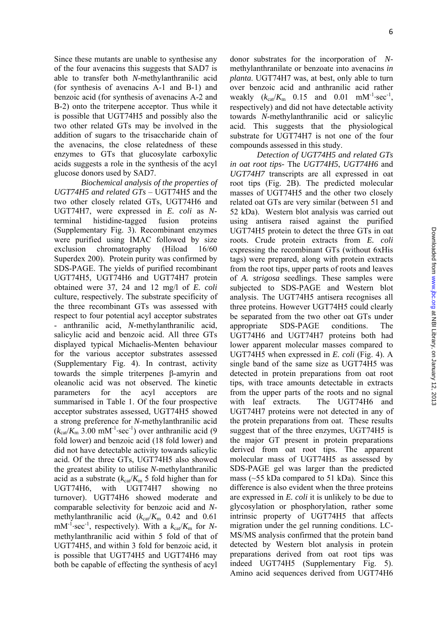Since these mutants are unable to synthesise any of the four avenacins this suggests that SAD7 is able to transfer both *N*-methylanthranilic acid (for synthesis of avenacins A-1 and B-1) and benzoic acid (for synthesis of avenacins A-2 and B-2) onto the triterpene acceptor. Thus while it is possible that UGT74H5 and possibly also the two other related GTs may be involved in the addition of sugars to the trisaccharide chain of the avenacins, the close relatedness of these enzymes to GTs that glucosylate carboxylic acids suggests a role in the synthesis of the acyl glucose donors used by SAD7.

*Biochemical analysis of the properties of UGT74H5 and related GTs* – UGT74H5 and the two other closely related GTs, UGT74H6 and UGT74H7, were expressed in *E. coli* as *N*terminal histidine-tagged fusion proteins (Supplementary Fig. 3). Recombinant enzymes were purified using IMAC followed by size exclusion chromatography (Hiload 16/60 Superdex 200). Protein purity was confirmed by SDS-PAGE. The yields of purified recombinant UGT74H5, UGT74H6 and UGT74H7 protein obtained were 37, 24 and 12 mg/l of *E. coli* culture, respectively. The substrate specificity of the three recombinant GTs was assessed with respect to four potential acyl acceptor substrates - anthranilic acid, *N*-methylanthranilic acid, salicylic acid and benzoic acid. All three GTs displayed typical Michaelis-Menten behaviour for the various acceptor substrates assessed (Supplementary Fig. 4). In contrast, activity towards the simple triterpenes β-amyrin and oleanolic acid was not observed. The kinetic parameters for the acyl acceptors are summarised in Table 1. Of the four prospective acceptor substrates assessed, UGT74H5 showed a strong preference for *N*-methylanthranilic acid (*k*cat/*K*m 3.00 mM-1∙sec-1) over anthranilic acid (9 fold lower) and benzoic acid (18 fold lower) and did not have detectable activity towards salicylic acid. Of the three GTs, UGT74H5 also showed the greatest ability to utilise *N*-methylanthranilic acid as a substrate  $(k_{cat}/K_m 5)$  fold higher than for UGT74H6, with UGT74H7 showing no turnover). UGT74H6 showed moderate and comparable selectivity for benzoic acid and *N*methylanthranilic acid  $(k_{cat}/K_m \ 0.42$  and 0.61 mM<sup>-1</sup>⋅sec<sup>-1</sup>, respectively). With a  $k_{\text{ca}}/K_{\text{m}}$  for *N*methylanthranilic acid within 5 fold of that of UGT74H5, and within 3 fold for benzoic acid, it is possible that UGT74H5 and UGT74H6 may both be capable of effecting the synthesis of acyl donor substrates for the incorporation of *N*methylanthranilate or benzoate into avenacins *in planta*. UGT74H7 was, at best, only able to turn over benzoic acid and anthranilic acid rather weakly  $(k_{cat}/K_m \ 0.15 \ and \ 0.01 \ mM^{-1} \sec^{-1}$ , respectively) and did not have detectable activity towards *N*-methylanthranilic acid or salicylic acid. This suggests that the physiological substrate for UGT74H7 is not one of the four compounds assessed in this study.

*Detection of UGT74H5 and related GTs in oat root tips-* The *UGT74H5*, *UGT74H6* and *UGT74H7* transcripts are all expressed in oat root tips (Fig. 2B). The predicted molecular masses of UGT74H5 and the other two closely related oat GTs are very similar (between 51 and 52 kDa). Western blot analysis was carried out using antisera raised against the purified UGT74H5 protein to detect the three GTs in oat roots. Crude protein extracts from *E. coli* expressing the recombinant GTs (without 6xHis tags) were prepared, along with protein extracts from the root tips, upper parts of roots and leaves of *A. strigosa* seedlings. These samples were subjected to SDS-PAGE and Western blot analysis. The UGT74H5 antisera recognises all three proteins. However UGT74H5 could clearly be separated from the two other oat GTs under appropriate SDS-PAGE conditions. The UGT74H6 and UGT74H7 proteins both had lower apparent molecular masses compared to UGT74H5 when expressed in *E. coli* (Fig. 4). A single band of the same size as UGT74H5 was detected in protein preparations from oat root tips, with trace amounts detectable in extracts from the upper parts of the roots and no signal with leaf extracts. The UGT74H6 and UGT74H7 proteins were not detected in any of the protein preparations from oat. These results suggest that of the three enzymes, UGT74H5 is the major GT present in protein preparations derived from oat root tips. The apparent molecular mass of UGT74H5 as assessed by SDS-PAGE gel was larger than the predicted mass ( $\sim$ 55 kDa compared to 51 kDa). Since this difference is also evident when the three proteins are expressed in *E. coli* it is unlikely to be due to glycosylation or phosphorylation, rather some intrinsic property of UGT74H5 that affects migration under the gel running conditions. LC-MS/MS analysis confirmed that the protein band detected by Western blot analysis in protein preparations derived from oat root tips was indeed UGT74H5 (Supplementary Fig. 5). Amino acid sequences derived from UGT74H6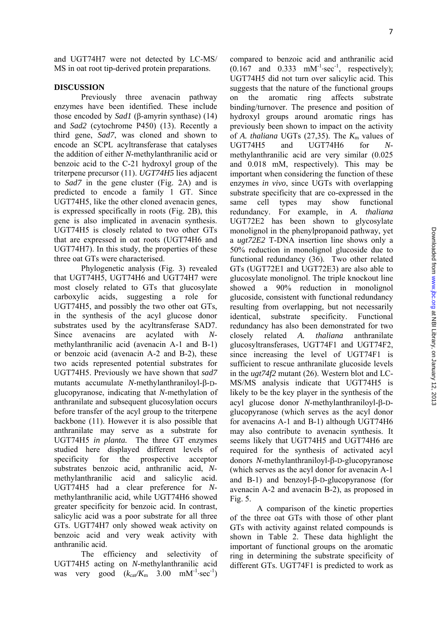and UGT74H7 were not detected by LC-MS/ MS in oat root tip-derived protein preparations.

#### **DISCUSSION**

Previously three avenacin pathway enzymes have been identified. These include those encoded by *Sad1* (β-amyrin synthase) (14) and *Sad2* (cytochrome P450) (13). Recently a third gene, *Sad7*, was cloned and shown to encode an SCPL acyltransferase that catalyses the addition of either *N*-methylanthranilic acid or benzoic acid to the C-21 hydroxyl group of the triterpene precursor (11). *UGT74H5* lies adjacent to *Sad7* in the gene cluster (Fig. 2A) and is predicted to encode a family 1 GT. Since UGT74H5, like the other cloned avenacin genes, is expressed specifically in roots (Fig. 2B), this gene is also implicated in avenacin synthesis. UGT74H5 is closely related to two other GTs that are expressed in oat roots (UGT74H6 and UGT74H7). In this study, the properties of these three oat GTs were characterised.

Phylogenetic analysis (Fig. 3) revealed that UGT74H5, UGT74H6 and UGT74H7 were most closely related to GTs that glucosylate carboxylic acids, suggesting a role for UGT74H5, and possibly the two other oat GTs, in the synthesis of the acyl glucose donor substrates used by the acyltransferase SAD7. Since avenacins are acylated with *N*methylanthranilic acid (avenacin A-1 and B-1) or benzoic acid (avenacin A-2 and B-2), these two acids represented potential substrates for UGT74H5. Previously we have shown that *sad7*  mutants accumulate *N*-methylanthraniloyl-β-Dglucopyranose, indicating that *N*-methylation of anthranilate and subsequent glucosylation occurs before transfer of the acyl group to the triterpene backbone (11). However it is also possible that anthranilate may serve as a substrate for UGT74H5 *in planta.* The three GT enzymes studied here displayed different levels of specificity for the prospective acceptor substrates benzoic acid, anthranilic acid, *N*methylanthranilic acid and salicylic acid. UGT74H5 had a clear preference for *N*methylanthranilic acid, while UGT74H6 showed greater specificity for benzoic acid. In contrast, salicylic acid was a poor substrate for all three GTs. UGT74H7 only showed weak activity on benzoic acid and very weak activity with anthranilic acid.

The efficiency and selectivity of UGT74H5 acting on *N*-methylanthranilic acid was very good  $(k_{ca} / K_m$  3.00 mM<sup>-1</sup>⋅sec<sup>-1</sup>)

compared to benzoic acid and anthranilic acid  $(0.167$  and  $0.333$  mM<sup>-1</sup>⋅sec<sup>-1</sup>, respectively); UGT74H5 did not turn over salicylic acid. This suggests that the nature of the functional groups on the aromatic ring affects substrate binding/turnover. The presence and position of hydroxyl groups around aromatic rings has previously been shown to impact on the activity of *A. thaliana* UGTs  $(27,35)$ . The  $K<sub>m</sub>$  values of UGT74H5 and UGT74H6 for *N*methylanthranilic acid are very similar (0.025 and 0.018 mM, respectively). This may be important when considering the function of these enzymes *in vivo*, since UGTs with overlapping substrate specificity that are co-expressed in the same cell types may show functional redundancy. For example, in *A. thaliana* UGT72E2 has been shown to glycosylate monolignol in the phenylpropanoid pathway, yet a *ugt72E2* T-DNA insertion line shows only a 50% reduction in monolignol glucoside due to functional redundancy (36). Two other related GTs (UGT72E1 and UGT72E3) are also able to glucosylate monolignol. The triple knockout line showed a 90% reduction in monolignol glucoside, consistent with functional redundancy resulting from overlapping, but not necessarily identical, substrate specificity. Functional redundancy has also been demonstrated for two closely related *A. thaliana* anthranilate glucosyltransferases, UGT74F1 and UGT74F2, since increasing the level of UGT74F1 is sufficient to rescue anthranilate glucoside levels in the *ugt74f2* mutant (26). Western blot and LC-MS/MS analysis indicate that UGT74H5 is likely to be the key player in the synthesis of the acyl glucose donor *N*-methylanthraniloyl-β-Dglucopyranose (which serves as the acyl donor for avenacins A-1 and B-1) although UGT74H6 may also contribute to avenacin synthesis. It seems likely that UGT74H5 and UGT74H6 are required for the synthesis of activated acyl donors *N*-methylanthraniloyl-β-D-glucopyranose (which serves as the acyl donor for avenacin A-1 and B-1) and benzoyl-β-D-glucopyranose (for avenacin A-2 and avenacin B-2), as proposed in Fig. 5.

A comparison of the kinetic properties of the three oat GTs with those of other plant GTs with activity against related compounds is shown in Table 2. These data highlight the important of functional groups on the aromatic ring in determining the substrate specificity of different GTs. UGT74F1 is predicted to work as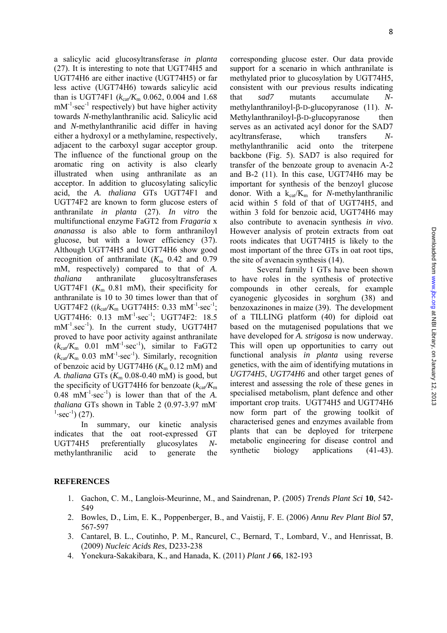a salicylic acid glucosyltransferase *in planta* (27). It is interesting to note that UGT74H5 and UGT74H6 are either inactive (UGT74H5) or far less active (UGT74H6) towards salicylic acid than is UGT74F1 ( $k_{ca}/K_m$  0.062, 0.004 and 1.68) mM<sup>-1</sup>⋅sec<sup>-1</sup> respectively) but have higher activity towards *N-*methylanthranilic acid. Salicylic acid and *N-*methylanthranilic acid differ in having either a hydroxyl or a methylamine, respectively, adjacent to the carboxyl sugar acceptor group. The influence of the functional group on the aromatic ring on activity is also clearly illustrated when using anthranilate as an acceptor. In addition to glucosylating salicylic acid, the *A. thaliana* GTs UGT74F1 and UGT74F2 are known to form glucose esters of anthranilate *in planta* (27). *In vitro* the multifunctional enzyme FaGT2 from *Fragaria* x *ananassa* is also able to form anthraniloyl glucose, but with a lower efficiency (37). Although UGT74H5 and UGT74H6 show good recognition of anthranilate  $(K<sub>m</sub> 0.42$  and 0.79 mM, respectively) compared to that of *A. thaliana* anthranilate glucosyltransferases UGT74F1  $(K<sub>m</sub> 0.81$  mM), their specificity for anthranilate is 10 to 30 times lower than that of UGT74F2 (( $k_{ca}$ <sub>/Km</sub> UGT74H5: 0.33 mM<sup>-1</sup>⋅sec<sup>-1</sup>; UGT74H6: 0.13 mM<sup>-1</sup>⋅sec<sup>-1</sup>; UGT74F2: 18.5  $mM^{-1}.\text{sec}^{-1}$ ). In the current study, UGT74H7 proved to have poor activity against anthranilate  $(k_{cat}/K_m \ 0.01 \ mM^{-1} \cdot sec^{-1})$ , similar to FaGT2  $(k_{cat}/K_m \ 0.03 \ mM^{-1} \sec^{-1})$ . Similarly, recognition of benzoic acid by UGT74H6  $(K<sub>m</sub> 0.12$  mM) and *A. thaliana* GTs  $(K_m 0.08{\text -}0.40 \text{ mM})$  is good, but the specificity of UGT74H6 for benzoate  $(k_{cav}/K_m)$ 0.48 mM-1∙sec-1) is lower than that of the *A. thaliana* GTs shown in Table 2 (0.97-3.97 mM- $^{1}\text{·sec}^{1}$ ) (27).

In summary, our kinetic analysis indicates that the oat root-expressed GT UGT74H5 preferentially glucosylates *N*methylanthranilic acid to generate the corresponding glucose ester. Our data provide support for a scenario in which anthranilate is methylated prior to glucosylation by UGT74H5, consistent with our previous results indicating that *sad7* mutants accumulate *N*methylanthraniloyl-β-D-glucopyranose (11). *N*-Methylanthraniloyl-β-D-glucopyranose then serves as an activated acyl donor for the SAD7 acyltransferase, which transfers *N*methylanthranilic acid onto the triterpene backbone (Fig. 5). SAD7 is also required for transfer of the benzoate group to avenacin A-2 and B-2 (11). In this case, UGT74H6 may be important for synthesis of the benzoyl glucose donor. With a  $k_{cat}/K_m$  for *N*-methylanthranilic acid within 5 fold of that of UGT74H5, and within 3 fold for benzoic acid, UGT74H6 may also contribute to avenacin synthesis *in vivo*. However analysis of protein extracts from oat roots indicates that UGT74H5 is likely to the most important of the three GTs in oat root tips, the site of avenacin synthesis (14).

Several family 1 GTs have been shown to have roles in the synthesis of protective compounds in other cereals, for example cyanogenic glycosides in sorghum (38) and benzoxazinones in maize (39). The development of a TILLING platform (40) for diploid oat based on the mutagenised populations that we have developed for *A. strigosa* is now underway. This will open up opportunities to carry out functional analysis *in planta* using reverse genetics, with the aim of identifying mutations in *UGT74H5*, *UGT74H6* and other target genes of interest and assessing the role of these genes in specialised metabolism, plant defence and other important crop traits. UGT74H5 and UGT74H6 now form part of the growing toolkit of characterised genes and enzymes available from plants that can be deployed for triterpene metabolic engineering for disease control and synthetic biology applications (41-43).

### **REFERENCES**

- 1. Gachon, C. M., Langlois-Meurinne, M., and Saindrenan, P. (2005) *Trends Plant Sci* **10**, 542- 549
- 2. Bowles, D., Lim, E. K., Poppenberger, B., and Vaistij, F. E. (2006) *Annu Rev Plant Biol* **57**, 567-597
- 3. Cantarel, B. L., Coutinho, P. M., Rancurel, C., Bernard, T., Lombard, V., and Henrissat, B. (2009) *Nucleic Acids Res*, D233-238
- 4. Yonekura-Sakakibara, K., and Hanada, K. (2011) *Plant J* **66**, 182-193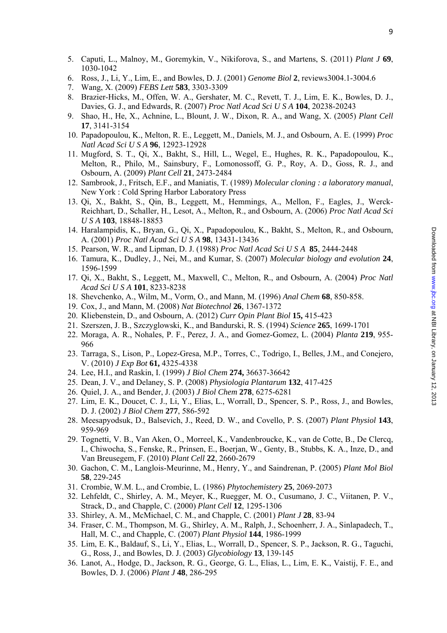- 5. Caputi, L., Malnoy, M., Goremykin, V., Nikiforova, S., and Martens, S. (2011) *Plant J* **69**, 1030-1042
- 6. Ross, J., Li, Y., Lim, E., and Bowles, D. J. (2001) *Genome Biol* **2**, reviews3004.1-3004.6
- 7. Wang, X. (2009) *FEBS Lett* **583**, 3303-3309
- 8. Brazier-Hicks, M., Offen, W. A., Gershater, M. C., Revett, T. J., Lim, E. K., Bowles, D. J., Davies, G. J., and Edwards, R. (2007) *Proc Natl Acad Sci U S A* **104**, 20238-20243
- 9. Shao, H., He, X., Achnine, L., Blount, J. W., Dixon, R. A., and Wang, X. (2005) *Plant Cell* **17**, 3141-3154
- 10. Papadopoulou, K., Melton, R. E., Leggett, M., Daniels, M. J., and Osbourn, A. E. (1999) *Proc Natl Acad Sci U S A* **96**, 12923-12928
- 11. Mugford, S. T., Qi, X., Bakht, S., Hill, L., Wegel, E., Hughes, R. K., Papadopoulou, K., Melton, R., Philo, M., Sainsbury, F., Lomonossoff, G. P., Roy, A. D., Goss, R. J., and Osbourn, A. (2009) *Plant Cell* **21**, 2473-2484
- 12. Sambrook, J., Fritsch, E.F., and Maniatis, T. (1989) *Molecular cloning : a laboratory manual*, New York : Cold Spring Harbor Laboratory Press
- 13. Qi, X., Bakht, S., Qin, B., Leggett, M., Hemmings, A., Mellon, F., Eagles, J., Werck-Reichhart, D., Schaller, H., Lesot, A., Melton, R., and Osbourn, A. (2006) *Proc Natl Acad Sci U S A* **103**, 18848-18853
- 14. Haralampidis, K., Bryan, G., Qi, X., Papadopoulou, K., Bakht, S., Melton, R., and Osbourn, A. (2001) *Proc Natl Acad Sci U S A* **98**, 13431-13436
- 15. Pearson, W. R., and Lipman, D. J. (1988) *Proc Natl Acad Sci U S A* **85**, 2444-2448
- 16. Tamura, K., Dudley, J., Nei, M., and Kumar, S. (2007) *Molecular biology and evolution* **24**, 1596-1599
- 17. Qi, X., Bakht, S., Leggett, M., Maxwell, C., Melton, R., and Osbourn, A. (2004) *Proc Natl Acad Sci U S A* **101**, 8233-8238
- 18. Shevchenko, A., Wilm, M., Vorm, O., and Mann, M. (1996) *Anal Chem* **68**, 850-858.
- 19. Cox, J., and Mann, M. (2008) *Nat Biotechnol* **26**, 1367-1372
- 20. Kliebenstein, D., and Osbourn, A. (2012) *Curr Opin Plant Biol* **15,** 415-423
- 21. Szerszen, J. B., Szczyglowski, K., and Bandurski, R. S. (1994) *Science* **265**, 1699-1701
- 22. Moraga, A. R., Nohales, P. F., Perez, J. A., and Gomez-Gomez, L. (2004) *Planta* **219**, 955- 966
- 23. Tarraga, S., Lison, P., Lopez-Gresa, M.P., Torres, C., Todrigo, I., Belles, J.M., and Conejero, V. (2010) *J Exp Bot* **61,** 4325-4338
- 24. Lee, H.I., and Raskin, I. (1999) *J Biol Chem* **274,** 36637-36642
- 25. Dean, J. V., and Delaney, S. P. (2008) *Physiologia Plantarum* **132**, 417-425
- 26. Quiel, J. A., and Bender, J. (2003) *J Biol Chem* **278**, 6275-6281
- 27. Lim, E. K., Doucet, C. J., Li, Y., Elias, L., Worrall, D., Spencer, S. P., Ross, J., and Bowles, D. J. (2002) *J Biol Chem* **277**, 586-592
- 28. Meesapyodsuk, D., Balsevich, J., Reed, D. W., and Covello, P. S. (2007) *Plant Physiol* **143**, 959-969
- 29. Tognetti, V. B., Van Aken, O., Morreel, K., Vandenbroucke, K., van de Cotte, B., De Clercq, I., Chiwocha, S., Fenske, R., Prinsen, E., Boerjan, W., Genty, B., Stubbs, K. A., Inze, D., and Van Breusegem, F. (2010) *Plant Cell* **22**, 2660-2679
- 30. Gachon, C. M., Langlois-Meurinne, M., Henry, Y., and Saindrenan, P. (2005) *Plant Mol Biol* **58**, 229-245
- 31. Crombie, W.M. L., and Crombie, L. (1986) *Phytochemistery* **25**, 2069-2073
- 32. Lehfeldt, C., Shirley, A. M., Meyer, K., Ruegger, M. O., Cusumano, J. C., Viitanen, P. V., Strack, D., and Chapple, C. (2000) *Plant Cell* **12**, 1295-1306
- 33. Shirley, A. M., McMichael, C. M., and Chapple, C. (2001) *Plant J* **28**, 83-94
- 34. Fraser, C. M., Thompson, M. G., Shirley, A. M., Ralph, J., Schoenherr, J. A., Sinlapadech, T., Hall, M. C., and Chapple, C. (2007) *Plant Physiol* **144**, 1986-1999
- 35. Lim, E. K., Baldauf, S., Li, Y., Elias, L., Worrall, D., Spencer, S. P., Jackson, R. G., Taguchi, G., Ross, J., and Bowles, D. J. (2003) *Glycobiology* **13**, 139-145
- 36. Lanot, A., Hodge, D., Jackson, R. G., George, G. L., Elias, L., Lim, E. K., Vaistij, F. E., and Bowles, D. J. (2006) *Plant J* **48**, 286-295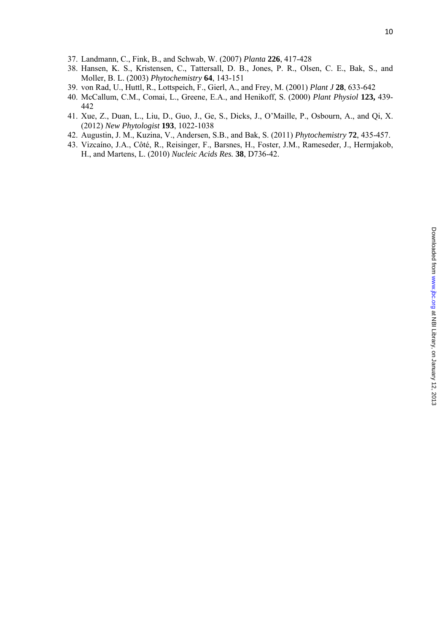- 37. Landmann, C., Fink, B., and Schwab, W. (2007) *Planta* **226**, 417-428
- 38. Hansen, K. S., Kristensen, C., Tattersall, D. B., Jones, P. R., Olsen, C. E., Bak, S., and Moller, B. L. (2003) *Phytochemistry* **64**, 143-151
- 39. von Rad, U., Huttl, R., Lottspeich, F., Gierl, A., and Frey, M. (2001) *Plant J* **28**, 633-642
- 40. McCallum, C.M., Comai, L., Greene, E.A., and Henikoff, S. (2000) *Plant Physiol* **123,** 439- 442
- 41. Xue, Z., Duan, L., Liu, D., Guo, J., Ge, S., Dicks, J., O'Maille, P., Osbourn, A., and Qi, X. (2012) *New Phytologist* **193**, 1022-1038
- 42. Augustin, J. M., Kuzina, V., Andersen, S.B., and Bak, S. (2011) *Phytochemistry* **72**, 435-457.
- 43. Vizcaíno, J.A., Côté, R., Reisinger, F., Barsnes, H., Foster, J.M., Rameseder, J., Hermjakob, H., and Martens, L. (2010) *Nucleic Acids Res.* **38**, D736-42.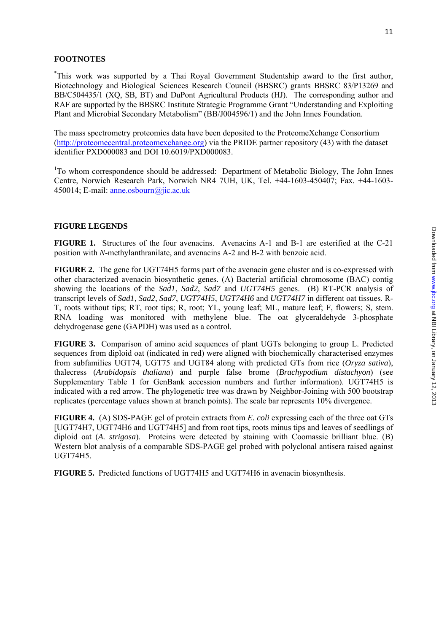## **FOOTNOTES**

\* This work was supported by a Thai Royal Government Studentship award to the first author, Biotechnology and Biological Sciences Research Council (BBSRC) grants BBSRC 83/P13269 and BB/C504435/1 (XQ, SB, BT) and DuPont Agricultural Products (HJ). The corresponding author and RAF are supported by the BBSRC Institute Strategic Programme Grant "Understanding and Exploiting Plant and Microbial Secondary Metabolism" (BB/J004596/1) and the John Innes Foundation.

The mass spectrometry proteomics data have been deposited to the ProteomeXchange Consortium ([http://proteomecentral.proteomexchange.org\)](http://proteomecentral.proteomexchange.org/) via the PRIDE partner repository (43) with the dataset identifier PXD000083 and DOI 10.6019/PXD000083.

<sup>1</sup>To whom correspondence should be addressed: Department of Metabolic Biology, The John Innes Centre, Norwich Research Park, Norwich NR4 7UH, UK, Tel. +44-1603-450407; Fax. +44-1603- 450014; E-mail: [anne.osbourn@jic.ac.uk](mailto:anne.osbourn@jic.ac.uk)

### **FIGURE LEGENDS**

**FIGURE 1.** Structures of the four avenacins. Avenacins A-1 and B-1 are esterified at the C-21 position with *N*-methylanthranilate, and avenacins A-2 and B-2 with benzoic acid.

**FIGURE 2.** The gene for UGT74H5 forms part of the avenacin gene cluster and is co-expressed with other characterized avenacin biosynthetic genes. (A) Bacterial artificial chromosome (BAC) contig showing the locations of the *Sad1*, *Sad2*, *Sad7* and *UGT74H5* genes. (B) RT-PCR analysis of transcript levels of *Sad1*, *Sad2*, *Sad7*, *UGT74H5*, *UGT74H6* and *UGT74H7* in different oat tissues. R-T, roots without tips; RT, root tips; R, root; YL, young leaf; ML, mature leaf; F, flowers; S, stem. RNA loading was monitored with methylene blue. The oat glyceraldehyde 3-phosphate dehydrogenase gene (GAPDH) was used as a control.

**FIGURE 3.** Comparison of amino acid sequences of plant UGTs belonging to group L. Predicted sequences from diploid oat (indicated in red) were aligned with biochemically characterised enzymes from subfamilies UGT74, UGT75 and UGT84 along with predicted GTs from rice (*Oryza sativa*), thalecress (*Arabidopsis thaliana*) and purple false brome (*Brachypodium distachyon*) (see Supplementary Table 1 for GenBank accession numbers and further information). UGT74H5 is indicated with a red arrow. The phylogenetic tree was drawn by Neighbor-Joining with 500 bootstrap replicates (percentage values shown at branch points). The scale bar represents 10% divergence.

**FIGURE 4.** (A) SDS-PAGE gel of protein extracts from *E. coli* expressing each of the three oat GTs [UGT74H7, UGT74H6 and UGT74H5] and from root tips, roots minus tips and leaves of seedlings of diploid oat (*A. strigosa*). Proteins were detected by staining with Coomassie brilliant blue. (B) Western blot analysis of a comparable SDS-PAGE gel probed with polyclonal antisera raised against UGT74H5.

**FIGURE 5.** Predicted functions of UGT74H5 and UGT74H6 in avenacin biosynthesis.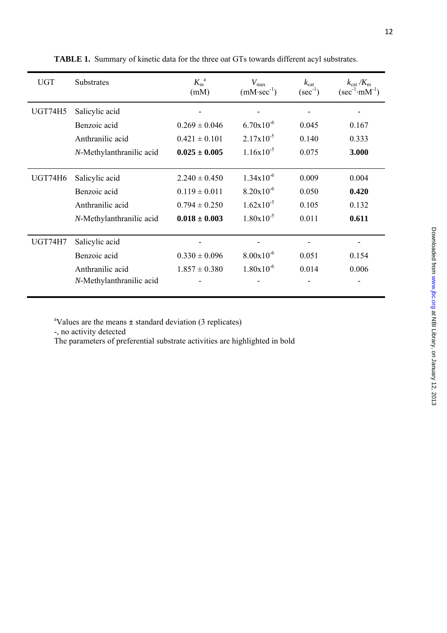| ימות מנות ה<br>l<br><b>FININ' NIN' NIN'</b><br>֠<br>3<br>١<br>.<br>!<br>ZUT3 | J<br>ļ |
|------------------------------------------------------------------------------|--------|
|                                                                              |        |
|                                                                              |        |
|                                                                              |        |
|                                                                              |        |

| <b>UGT</b>     | Substrates               | $K_{\rm m}^{a}$<br>(mM) | $V_{\text{max}}$<br>$(mM\text{-}sec^{-1})$ | $k_{\text{cat}}$<br>$(\sec^{-1})$ | $k_{\text{cat}}/K_{\text{m}}$<br>$(\sec^{-1} \cdot mM^{-1})$ |
|----------------|--------------------------|-------------------------|--------------------------------------------|-----------------------------------|--------------------------------------------------------------|
| <b>UGT74H5</b> | Salicylic acid           |                         |                                            |                                   |                                                              |
|                | Benzoic acid             | $0.269 \pm 0.046$       | $6.70x10^{-6}$                             | 0.045                             | 0.167                                                        |
|                | Anthranilic acid         | $0.421 \pm 0.101$       | $2.17x10^{-5}$                             | 0.140                             | 0.333                                                        |
|                | N-Methylanthranilic acid | $0.025 \pm 0.005$       | $1.16x10^{-5}$                             | 0.075                             | 3.000                                                        |
| <b>UGT74H6</b> | Salicylic acid           | $2.240 \pm 0.450$       | $1.34x10^{-6}$                             | 0.009                             | 0.004                                                        |
|                | Benzoic acid             | $0.119 \pm 0.011$       | $8.20x10^{-6}$                             | 0.050                             | 0.420                                                        |
|                | Anthranilic acid         | $0.794 \pm 0.250$       | $1.62 \times 10^{-5}$                      | 0.105                             | 0.132                                                        |
|                | N-Methylanthranilic acid | $0.018 \pm 0.003$       | $1.80 \times 10^{-5}$                      | 0.011                             | 0.611                                                        |
| <b>UGT74H7</b> | Salicylic acid           |                         |                                            |                                   |                                                              |
|                | Benzoic acid             | $0.330 \pm 0.096$       | $8.00x10^{-6}$                             | 0.051                             | 0.154                                                        |
|                | Anthranilic acid         | $1.857 \pm 0.380$       | $1.80x10^{-6}$                             | 0.014                             | 0.006                                                        |
|                | N-Methylanthranilic acid |                         |                                            |                                   |                                                              |

**TABLE 1.** Summary of kinetic data for the three oat GTs towards different acyl substrates.

a Values are the means **±** standard deviation (3 replicates)

-, no activity detected

The parameters of preferential substrate activities are highlighted in bold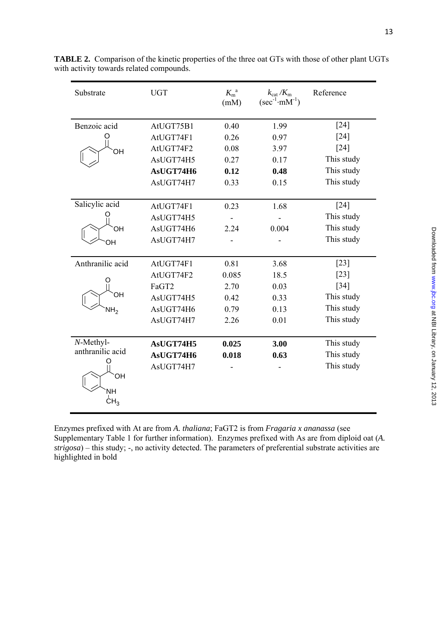| Substrate                                        | <b>UGT</b> | $K_{\rm m}^{a}$<br>(mM) | $k_{\text{cat}}/K_{\text{m}}$<br>$(\sec^{-1} \cdot mM^{-1})$ | Reference                              |
|--------------------------------------------------|------------|-------------------------|--------------------------------------------------------------|----------------------------------------|
| Benzoic acid                                     | AtUGT75B1  | 0.40                    | 1.99                                                         | $[24]$                                 |
|                                                  | AtUGT74F1  | 0.26                    | 0.97                                                         | [24]                                   |
| OH                                               | AtUGT74F2  | 0.08                    | 3.97                                                         | $[24]$                                 |
|                                                  | AsUGT74H5  | 0.27                    | 0.17                                                         | This study                             |
|                                                  | AsUGT74H6  | 0.12                    | 0.48                                                         | This study                             |
|                                                  | AsUGT74H7  | 0.33                    | 0.15                                                         | This study                             |
|                                                  |            |                         |                                                              |                                        |
| Salicylic acid                                   | AtUGT74F1  | 0.23                    | 1.68                                                         | $[24]$                                 |
|                                                  | AsUGT74H5  |                         |                                                              | This study                             |
| OН                                               | AsUGT74H6  | 2.24                    | 0.004                                                        | This study                             |
| OН                                               | AsUGT74H7  |                         |                                                              | This study                             |
|                                                  |            |                         |                                                              |                                        |
| Anthranilic acid                                 | AtUGT74F1  | 0.81                    | 3.68                                                         | $[23]$                                 |
|                                                  | AtUGT74F2  | 0.085                   | 18.5                                                         | $[23]$                                 |
|                                                  | FaGT2      | 2.70                    | 0.03                                                         | $[34]$                                 |
|                                                  | AsUGT74H5  | 0.42                    | 0.33                                                         | This study                             |
| NH <sub>2</sub>                                  | AsUGT74H6  | 0.79                    | 0.13                                                         | This study                             |
|                                                  | AsUGT74H7  | 2.26                    | 0.01                                                         | This study                             |
|                                                  |            |                         |                                                              |                                        |
|                                                  | AsUGT74H5  | 0.025                   | 3.00                                                         |                                        |
|                                                  | AsUGT74H6  | 0.018                   | 0.63                                                         |                                        |
|                                                  | AsUGT74H7  |                         |                                                              |                                        |
|                                                  |            |                         |                                                              |                                        |
| <b>NH</b>                                        |            |                         |                                                              |                                        |
| CH <sub>3</sub>                                  |            |                         |                                                              |                                        |
| OН<br>N-Methyl-<br>anthranilic acid<br><b>OH</b> |            |                         |                                                              | This study<br>This study<br>This study |

**TABLE 2.** Comparison of the kinetic properties of the three oat GTs with those of other plant UGTs with activity towards related compounds.

Enzymes prefixed with At are from *A. thaliana*; FaGT2 is from *Fragaria x ananassa* (see Supplementary Table 1 for further information). Enzymes prefixed with As are from diploid oat (*A. strigosa*) – this study; -, no activity detected. The parameters of preferential substrate activities are highlighted in bold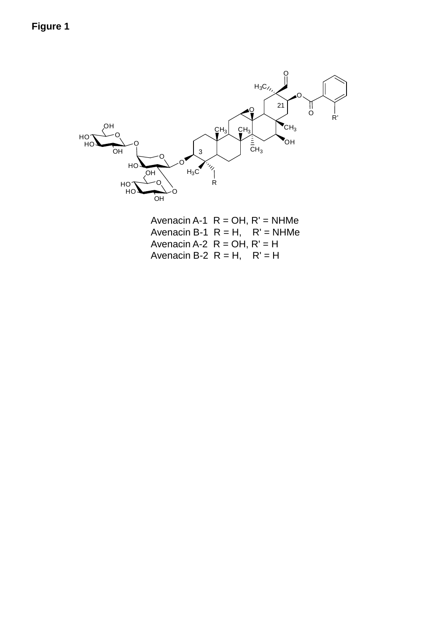

Avenacin A-1  $R = OH$ ,  $R' = NHMe$ Avenacin B-1  $R = H$ ,  $R' = NHMe$ Avenacin A-2  $R = OH$ ,  $R' = H$ Avenacin B-2  $R = H$ ,  $R' = H$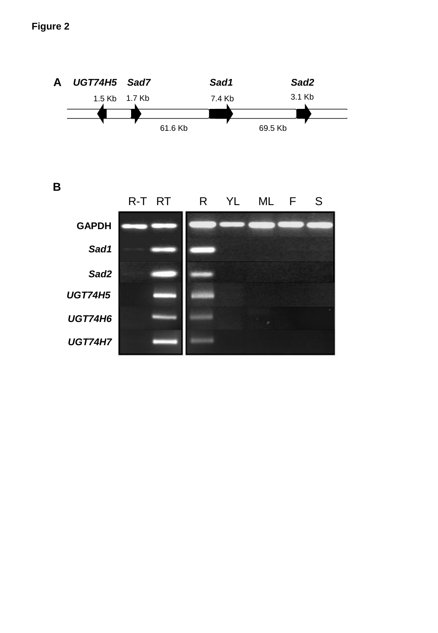# **Figure 2**

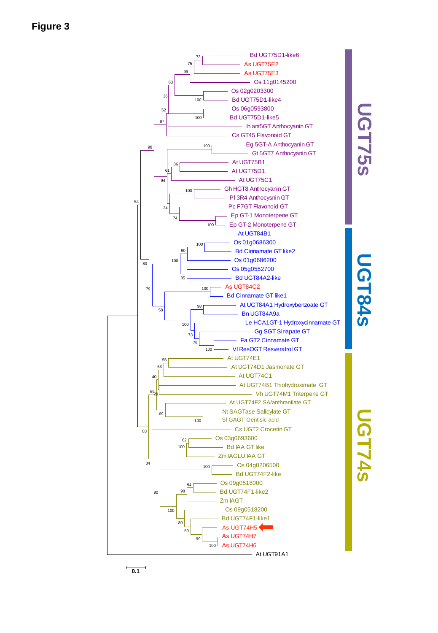



# **UGT84s**

**UGT74s**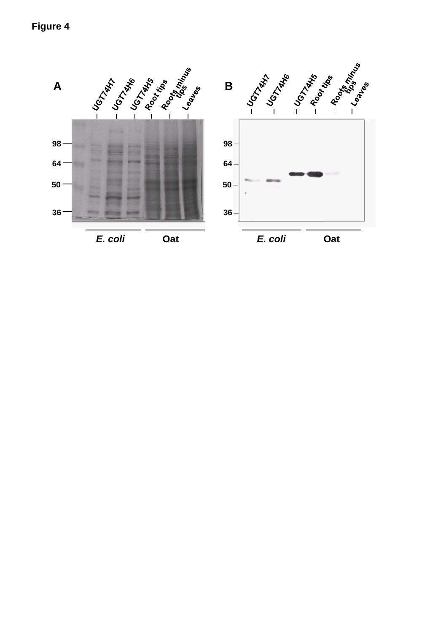# **Figure 4**